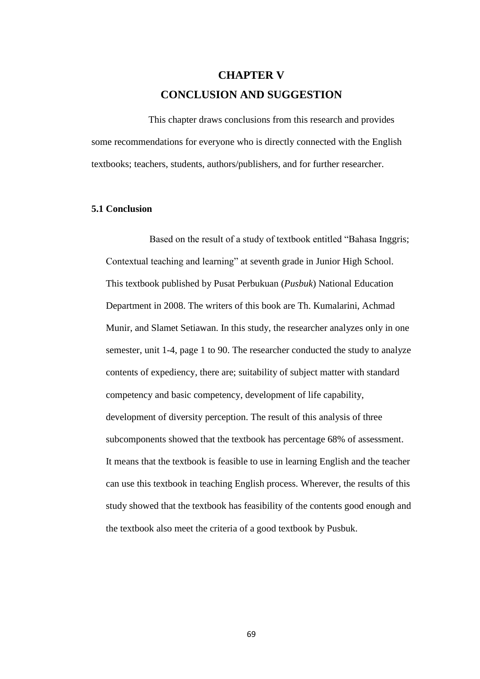## **CHAPTER V CONCLUSION AND SUGGESTION**

This chapter draws conclusions from this research and provides some recommendations for everyone who is directly connected with the English textbooks; teachers, students, authors/publishers, and for further researcher.

## **5.1 Conclusion**

Based on the result of a study of textbook entitled "Bahasa Inggris; Contextual teaching and learning" at seventh grade in Junior High School. This textbook published by Pusat Perbukuan (*Pusbuk*) National Education Department in 2008. The writers of this book are Th. Kumalarini, Achmad Munir, and Slamet Setiawan. In this study, the researcher analyzes only in one semester, unit 1-4, page 1 to 90. The researcher conducted the study to analyze contents of expediency, there are; suitability of subject matter with standard competency and basic competency, development of life capability, development of diversity perception. The result of this analysis of three subcomponents showed that the textbook has percentage 68% of assessment. It means that the textbook is feasible to use in learning English and the teacher can use this textbook in teaching English process. Wherever, the results of this study showed that the textbook has feasibility of the contents good enough and the textbook also meet the criteria of a good textbook by Pusbuk.